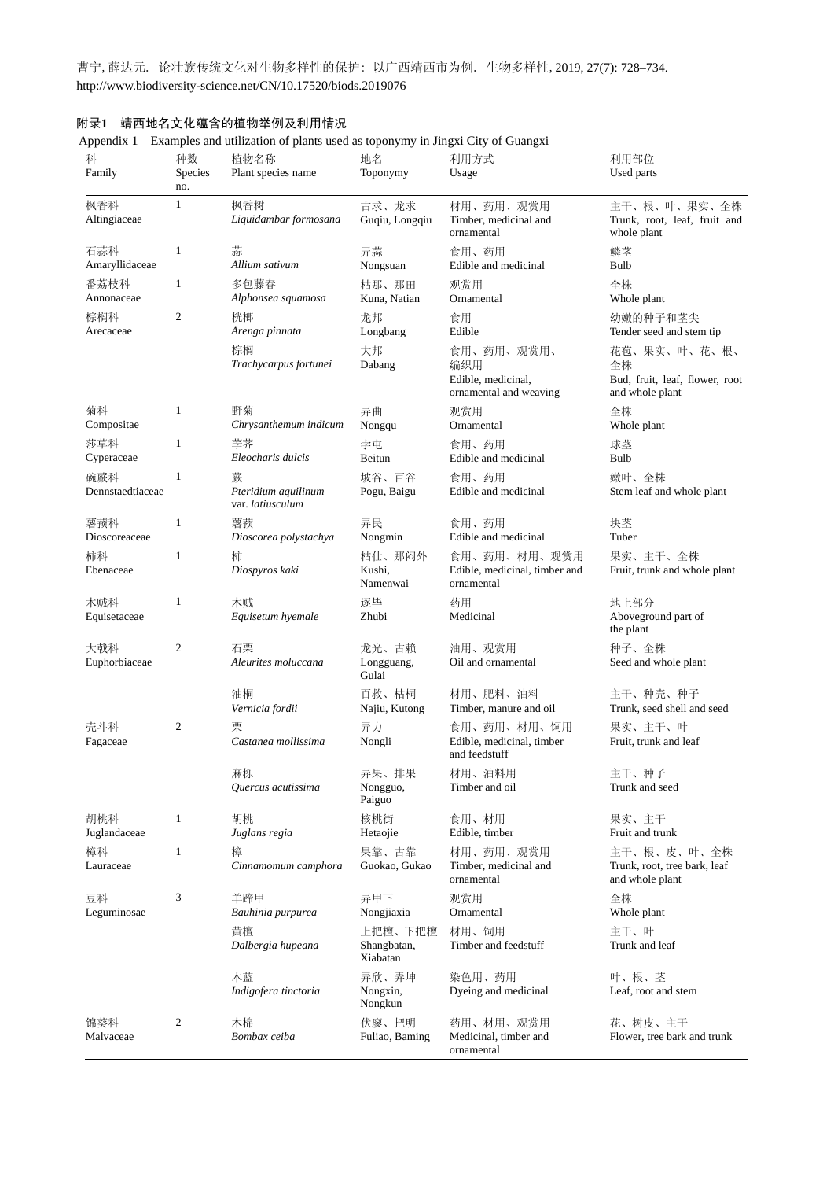曹宁,薛达元. 论壮族传统文化对生物多样性的保护: 以广西靖西市为例. 生物多样性,2019, 27(7): 728–734. http://www.biodiversity-science.net/CN/10.17520/biods.2019076

| 科<br>Family             | 种数<br>Species<br>no. | 植物名称<br>Plant species name                   | 地名<br>Toponymy                     | 利用方式<br>Usage                                                     | 利用部位<br>Used parts                                                      |
|-------------------------|----------------------|----------------------------------------------|------------------------------------|-------------------------------------------------------------------|-------------------------------------------------------------------------|
| 枫香科<br>Altingiaceae     | $\mathbf{1}$         | 枫香树<br>Liquidambar formosana                 | 古求、龙求<br>Guqiu, Longqiu            | 材用、药用、观赏用<br>Timber, medicinal and<br>ornamental                  | 主干、根、叶、果实、全株<br>Trunk, root, leaf, fruit and<br>whole plant             |
| 石蒜科<br>Amaryllidaceae   | $\mathbf{1}$         | 蒜<br>Allium sativum                          | 弄蒜<br>Nongsuan                     | 食用、药用<br>Edible and medicinal                                     | 鳞茎<br>Bulb                                                              |
| 番荔枝科<br>Annonaceae      | $\mathbf{1}$         | 多包藤春<br>Alphonsea squamosa                   | 枯那、那田<br>Kuna, Natian              | 观赏用<br>Ornamental                                                 | 全株<br>Whole plant                                                       |
| 棕榈科<br>Arecaceae        | $\mathfrak{2}$       | 桄榔<br>Arenga pinnata                         | 龙邦<br>Longbang                     | 食用<br>Edible                                                      | 幼嫩的种子和茎尖<br>Tender seed and stem tip                                    |
|                         |                      | 棕榈<br>Trachycarpus fortunei                  | 大邦<br>Dabang                       | 食用、药用、观赏用、<br>编织用<br>Edible, medicinal,<br>ornamental and weaving | 花苞、果实、叶、花、根、<br>全株<br>Bud, fruit, leaf, flower, root<br>and whole plant |
| 菊科<br>Compositae        | $\mathbf{1}$         | 野菊<br>Chrysanthemum indicum                  | 弄曲<br>Nongqu                       | 观赏用<br>Ornamental                                                 | 全株<br>Whole plant                                                       |
| 莎草科<br>Cyperaceae       | $\mathbf{1}$         | 荸荠<br>Eleocharis dulcis                      | 孛屯<br>Beitun                       | 食用、药用<br>Edible and medicinal                                     | 球茎<br>Bulb                                                              |
| 碗蕨科<br>Dennstaedtiaceae | $\mathbf{1}$         | 蕨<br>Pteridium aquilinum<br>var. latiusculum | 坡谷、百谷<br>Pogu, Baigu               | 食用、药用<br>Edible and medicinal                                     | 嫩叶、全株<br>Stem leaf and whole plant                                      |
| 薯蓣科<br>Dioscoreaceae    | $\mathbf{1}$         | 薯蓣<br>Dioscorea polystachya                  | 弄民<br>Nongmin                      | 食用、药用<br>Edible and medicinal                                     | 块茎<br>Tuber                                                             |
| 柿科<br>Ebenaceae         | $\mathbf{1}$         | 柿<br>Diospyros kaki                          | 枯仕、那闷外<br>Kushi,<br>Namenwai       | 食用、药用、材用、观赏用<br>Edible, medicinal, timber and<br>ornamental       | 果实、主干、全株<br>Fruit, trunk and whole plant                                |
| 木贼科<br>Equisetaceae     | $\mathbf{1}$         | 木贼<br>Equisetum hyemale                      | 逐毕<br>Zhubi                        | 药用<br>Medicinal                                                   | 地上部分<br>Aboveground part of<br>the plant                                |
| 大戟科<br>Euphorbiaceae    | 2                    | 石栗<br>Aleurites moluccana                    | 龙光、古赖<br>Longguang,<br>Gulai       | 油用、观赏用<br>Oil and ornamental                                      | 种子、全株<br>Seed and whole plant                                           |
|                         |                      | 油桐<br>Vernicia fordii                        | 百救、枯桐<br>Najiu, Kutong             | 材用、肥料、油料<br>Timber, manure and oil                                | 主干、种壳、种子<br>Trunk, seed shell and seed                                  |
| 壳斗科<br>Fagaceae         | $\mathfrak{2}$       | 栗<br>Castanea mollissima                     | 弄力<br>Nongli                       | 食用、药用、材用、饲用<br>Edible, medicinal, timber<br>and feedstuff         | 果实、主干、叶<br>Fruit, trunk and leaf                                        |
|                         |                      | 麻栎<br>Quercus acutissima                     | 弄果、排果<br>Nongguo,<br>Paiguo        | 材用、油料用<br>Timber and oil                                          | 主干、种子<br>Trunk and seed                                                 |
| 胡桃科<br>Juglandaceae     | $\mathbf{1}$         | 胡桃<br>Juglans regia                          | 核桃街<br>Hetaojie                    | 食用、材用<br>Edible, timber                                           | 果实、主干<br>Fruit and trunk                                                |
| 樟科<br>Lauraceae         | $\mathbf{1}$         | 橦<br>Cinnamomum camphora                     | 果靠、古靠<br>Guokao, Gukao             | 材用、药用、观赏用<br>Timber, medicinal and<br>ornamental                  | 主干、根、皮、叶、全株<br>Trunk, root, tree bark, leaf<br>and whole plant          |
| 豆科<br>Leguminosae       | 3                    | 羊蹄甲<br>Bauhinia purpurea                     | 弄甲下<br>Nongjiaxia                  | 观赏用<br>Ornamental                                                 | 全株<br>Whole plant                                                       |
|                         |                      | 黄檀<br>Dalbergia hupeana                      | 上把檀、下把檀<br>Shangbatan,<br>Xiabatan | 材用、饲用<br>Timber and feedstuff                                     | 主干、叶<br>Trunk and leaf                                                  |
|                         |                      | 木蓝<br>Indigofera tinctoria                   | 弄欣、弄坤<br>Nongxin,<br>Nongkun       | 染色用、药用<br>Dyeing and medicinal                                    | 叶、根、茎<br>Leaf, root and stem                                            |
| 锦葵科<br>Malvaceae        | $\boldsymbol{2}$     | 木棉<br>Bombax ceiba                           | 伏廖、把明<br>Fuliao, Baming            | 药用、材用、观赏用<br>Medicinal, timber and<br>ornamental                  | 花、树皮、主干<br>Flower, tree bark and trunk                                  |

## 附录**1** 靖西地名文化蕴含的植物举例及利用情况

Appendix 1 Examples and utilization of plants used as toponymy in Jingxi City of Guangxi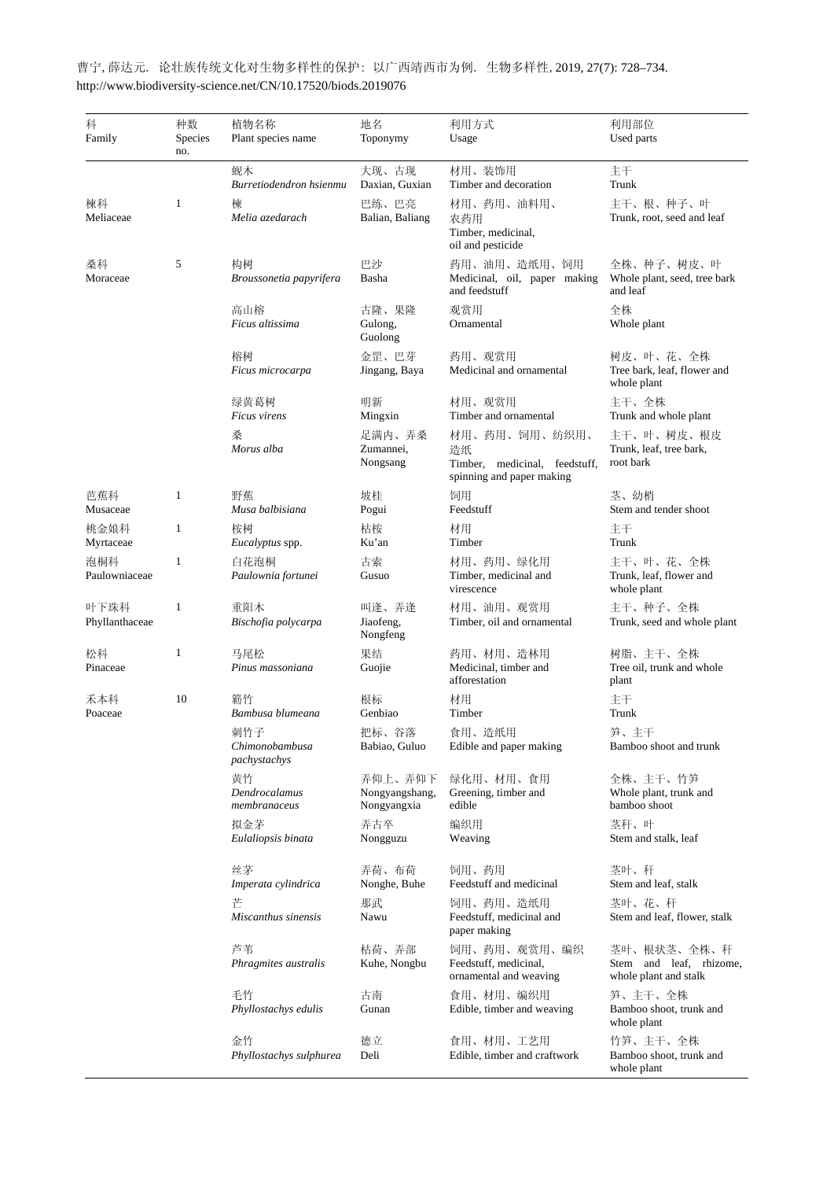| 科<br>Family            | 种数<br>Species<br>no. | 植物名称<br>Plant species name            | 地名<br>Toponymy                           | 利用方式<br>Usage                                                                     | 利用部位<br>Used parts                                              |
|------------------------|----------------------|---------------------------------------|------------------------------------------|-----------------------------------------------------------------------------------|-----------------------------------------------------------------|
|                        |                      | 蚬木<br>Burretiodendron hsienmu         | 大现、古现<br>Daxian, Guxian                  | 材用、装饰用<br>Timber and decoration                                                   | 主干<br>Trunk                                                     |
| 楝科<br>Meliaceae        | 1                    | 楝<br>Melia azedarach                  | 巴练、巴亮<br>Balian, Baliang                 | 材用、药用、油料用、<br>农药用<br>Timber, medicinal,<br>oil and pesticide                      | 主干、根、种子、叶<br>Trunk, root, seed and leaf                         |
| 桑科<br>Moraceae         | 5                    | 构树<br>Broussonetia papyrifera         | 巴沙<br>Basha                              | 药用、油用、造纸用、饲用<br>Medicinal, oil, paper making<br>and feedstuff                     | 全株、种子、树皮、叶<br>Whole plant, seed, tree bark<br>and leaf          |
|                        |                      | 高山榕<br>Ficus altissima                | 古隆、果隆<br>Gulong,<br>Guolong              | 观赏用<br>Ornamental                                                                 | 全株<br>Whole plant                                               |
|                        |                      | 榕树<br>Ficus microcarpa                | 金罡、巴芽<br>Jingang, Baya                   | 药用、观赏用<br>Medicinal and ornamental                                                | 树皮、叶、花、全株<br>Tree bark, leaf, flower and<br>whole plant         |
|                        |                      | 绿黄葛树<br>Ficus virens                  | 明新<br>Mingxin                            | 材用、观赏用<br>Timber and ornamental                                                   | 主干、全株<br>Trunk and whole plant                                  |
|                        |                      | 桑<br>Morus alba                       | 足满内、弄桑<br>Zumannei,<br>Nongsang          | 材用、药用、饲用、纺织用、<br>造纸<br>Timber, medicinal, feedstuff,<br>spinning and paper making | 主干、叶、树皮、根皮<br>Trunk, leaf, tree bark,<br>root bark              |
| 芭蕉科<br>Musaceae        | $\mathbf{1}$         | 野蕉<br>Musa balbisiana                 | 坡桂<br>Pogui                              | 饲用<br>Feedstuff                                                                   | 茎、幼梢<br>Stem and tender shoot                                   |
| 桃金娘科<br>Myrtaceae      | $\mathbf{1}$         | 桉树<br>Eucalyptus spp.                 | 枯桉<br>Ku'an                              | 材用<br>Timber                                                                      | 主干<br>Trunk                                                     |
| 泡桐科<br>Paulowniaceae   | $\mathbf{1}$         | 白花泡桐<br>Paulownia fortunei            | 古索<br>Gusuo                              | 材用、药用、绿化用<br>Timber, medicinal and<br>virescence                                  | 主干、叶、花、全株<br>Trunk, leaf, flower and<br>whole plant             |
| 叶下珠科<br>Phyllanthaceae | $\mathbf{1}$         | 重阳木<br>Bischofia polycarpa            | 叫逢、弄逢<br>Jiaofeng,<br>Nongfeng           | 材用、油用、观赏用<br>Timber, oil and ornamental                                           | 主干、种子、全株<br>Trunk, seed and whole plant                         |
| 松科<br>Pinaceae         | $\mathbf{1}$         | 马尾松<br>Pinus massoniana               | 果结<br>Guojie                             | 药用、材用、造林用<br>Medicinal, timber and<br>afforestation                               | 树脂、主干、全株<br>Tree oil, trunk and whole<br>plant                  |
| 禾本科<br>Poaceae         | 10                   | 簕竹<br>Bambusa blumeana                | 根标<br>Genbiao                            | 材用<br>Timber                                                                      | 主干<br>Trunk                                                     |
|                        |                      | 刺竹子<br>Chimonobambusa<br>pachystachys | 把标、谷落<br>Babiao, Guluo                   | 食用、造纸用<br>Edible and paper making                                                 | 笋、主干<br>Bamboo shoot and trunk                                  |
|                        |                      | 黄竹<br>Dendrocalamus<br>membranaceus   | 弄仰上、弄仰下<br>Nongyangshang,<br>Nongyangxia | 绿化用、材用、食用<br>Greening, timber and<br>edible                                       | 全株、主干、竹笋<br>Whole plant, trunk and<br>bamboo shoot              |
|                        |                      | 拟金茅<br>Eulaliopsis binata             | 弄古卒<br>Nongguzu                          | 编织用<br>Weaving                                                                    | 茎秆、叶<br>Stem and stalk, leaf                                    |
|                        |                      | 丝茅<br>Imperata cylindrica             | 弄荷、布荷<br>Nonghe, Buhe                    | 饲用、药用<br>Feedstuff and medicinal                                                  | 茎叶、秆<br>Stem and leaf, stalk                                    |
|                        |                      | 芒<br>Miscanthus sinensis              | 那武<br>Nawu                               | 饲用、药用、造纸用<br>Feedstuff, medicinal and<br>paper making                             | 茎叶、花、秆<br>Stem and leaf, flower, stalk                          |
|                        |                      | 芦苇<br>Phragmites australis            | 枯荷、弄部<br>Kuhe, Nongbu                    | 饲用、药用、观赏用、编织<br>Feedstuff, medicinal,<br>ornamental and weaving                   | 茎叶、根状茎、全株、秆<br>Stem and leaf, rhizome,<br>whole plant and stalk |
|                        |                      | 毛竹<br>Phyllostachys edulis            | 古南<br>Gunan                              | 食用、材用、编织用<br>Edible, timber and weaving                                           | 笋、主干、全株<br>Bamboo shoot, trunk and<br>whole plant               |
|                        |                      | 金竹<br>Phyllostachys sulphurea         | 德立<br>Deli                               | 食用、材用、工艺用<br>Edible, timber and craftwork                                         | 竹笋、主干、全株<br>Bamboo shoot, trunk and<br>whole plant              |

曹宁,薛达元. 论壮族传统文化对生物多样性的保护: 以广西靖西市为例. 生物多样性,2019, 27(7): 728–734. http://www.biodiversity-science.net/CN/10.17520/biods.2019076